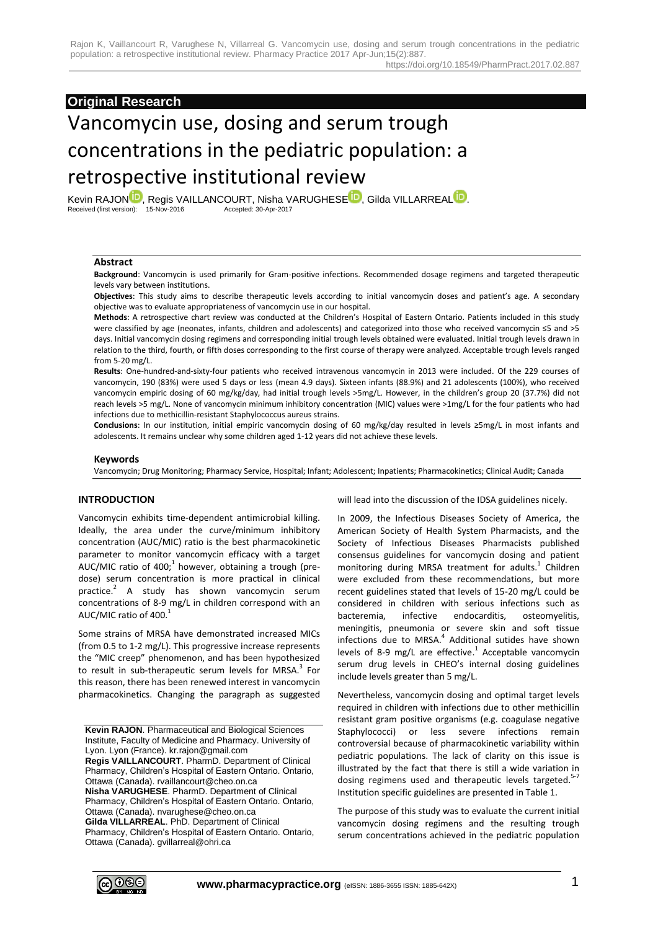# **Original Research**

# Vancomycin use, dosing and serum trough concentrations in the pediatric population: a retrospective institutional review

Kevin RAJO[N](http://orcid.org/0000-0003-3451-7086)<sup>ID</sup>, Regis VAILLANCOURT, Nisha VARUGH[E](http://orcid.org/0000-0001-8995-713X)SE<sup>ID</sup>, Gilda VILLARREAL<sup>ID</sup>[.](http://orcid.org/0000-0002-9625-734X)<br>Received (first version): 15-Nov-2016 Accepted: 30-Apr-2017 Received (first version): 15-Nov-2016

#### **Abstract**

**Background**: Vancomycin is used primarily for Gram-positive infections. Recommended dosage regimens and targeted therapeutic levels vary between institutions.

**Objectives**: This study aims to describe therapeutic levels according to initial vancomycin doses and patient's age. A secondary objective was to evaluate appropriateness of vancomycin use in our hospital.

**Methods**: A retrospective chart review was conducted at the Children's Hospital of Eastern Ontario. Patients included in this study were classified by age (neonates, infants, children and adolescents) and categorized into those who received vancomycin ≤5 and >5 days. Initial vancomycin dosing regimens and corresponding initial trough levels obtained were evaluated. Initial trough levels drawn in relation to the third, fourth, or fifth doses corresponding to the first course of therapy were analyzed. Acceptable trough levels ranged from 5-20 mg/L.

**Results**: One-hundred-and-sixty-four patients who received intravenous vancomycin in 2013 were included. Of the 229 courses of vancomycin, 190 (83%) were used 5 days or less (mean 4.9 days). Sixteen infants (88.9%) and 21 adolescents (100%), who received vancomycin empiric dosing of 60 mg/kg/day, had initial trough levels >5mg/L. However, in the children's group 20 (37.7%) did not reach levels >5 mg/L. None of vancomycin minimum inhibitory concentration (MIC) values were >1mg/L for the four patients who had infections due to methicillin-resistant Staphylococcus aureus strains.

**Conclusions**: In our institution, initial empiric vancomycin dosing of 60 mg/kg/day resulted in levels ≥5mg/L in most infants and adolescents. It remains unclear why some children aged 1-12 years did not achieve these levels.

## **Keywords**

Vancomycin; Drug Monitoring; Pharmacy Service, Hospital; Infant; Adolescent; Inpatients; Pharmacokinetics; Clinical Audit; Canada

#### **INTRODUCTION**

Vancomycin exhibits time-dependent antimicrobial killing. Ideally, the area under the curve/minimum inhibitory concentration (AUC/MIC) ratio is the best pharmacokinetic parameter to monitor vancomycin efficacy with a target AUC/MIC ratio of 400; $^1$  however, obtaining a trough (predose) serum concentration is more practical in clinical practice.<sup>2</sup> A study has shown vancomycin serum concentrations of 8-9 mg/L in children correspond with an AUC/MIC ratio of 400. $^{\rm 1}$ 

Some strains of MRSA have demonstrated increased MICs (from 0.5 to 1-2 mg/L). This progressive increase represents the "MIC creep" phenomenon, and has been hypothesized to result in sub-therapeutic serum levels for MRSA.<sup>3</sup> For this reason, there has been renewed interest in vancomycin pharmacokinetics. Changing the paragraph as suggested

**Kevin RAJON**. Pharmaceutical and Biological Sciences Institute, Faculty of Medicine and Pharmacy. University of Lyon. Lyon (France). kr.rajon@gmail.com **Regis VAILLANCOURT**. PharmD. Department of Clinical Pharmacy, Children's Hospital of Eastern Ontario. Ontario, Ottawa (Canada). rvaillancourt@cheo.on.ca **Nisha VARUGHESE**. PharmD. Department of Clinical Pharmacy, Children's Hospital of Eastern Ontario. Ontario, Ottawa (Canada). nvarughese@cheo.on.ca **Gilda VILLARREAL**. PhD. Department of Clinical Pharmacy, Children's Hospital of Eastern Ontario. Ontario, Ottawa (Canada). gvillarreal@ohri.ca

will lead into the discussion of the IDSA guidelines nicely.

In 2009, the Infectious Diseases Society of America, the American Society of Health System Pharmacists, and the Society of Infectious Diseases Pharmacists published consensus guidelines for vancomycin dosing and patient monitoring during MRSA treatment for adults.<sup>1</sup> Children were excluded from these recommendations, but more recent guidelines stated that levels of 15-20 mg/L could be considered in children with serious infections such as bacteremia, infective endocarditis, osteomyelitis, meningitis, pneumonia or severe skin and soft tissue infections due to MRSA. 4 Additional sutides have shown levels of 8-9 mg/L are effective.<sup>1</sup> Acceptable vancomycin serum drug levels in CHEO's internal dosing guidelines include levels greater than 5 mg/L.

Nevertheless, vancomycin dosing and optimal target levels required in children with infections due to other methicillin resistant gram positive organisms (e.g. coagulase negative Staphylococci) or less severe infections remain controversial because of pharmacokinetic variability within pediatric populations. The lack of clarity on this issue is illustrated by the fact that there is still a wide variation in dosing regimens used and therapeutic levels targeted.<sup>5-7</sup> Institution specific guidelines are presented in Table 1.

The purpose of this study was to evaluate the current initial vancomycin dosing regimens and the resulting trough serum concentrations achieved in the pediatric population

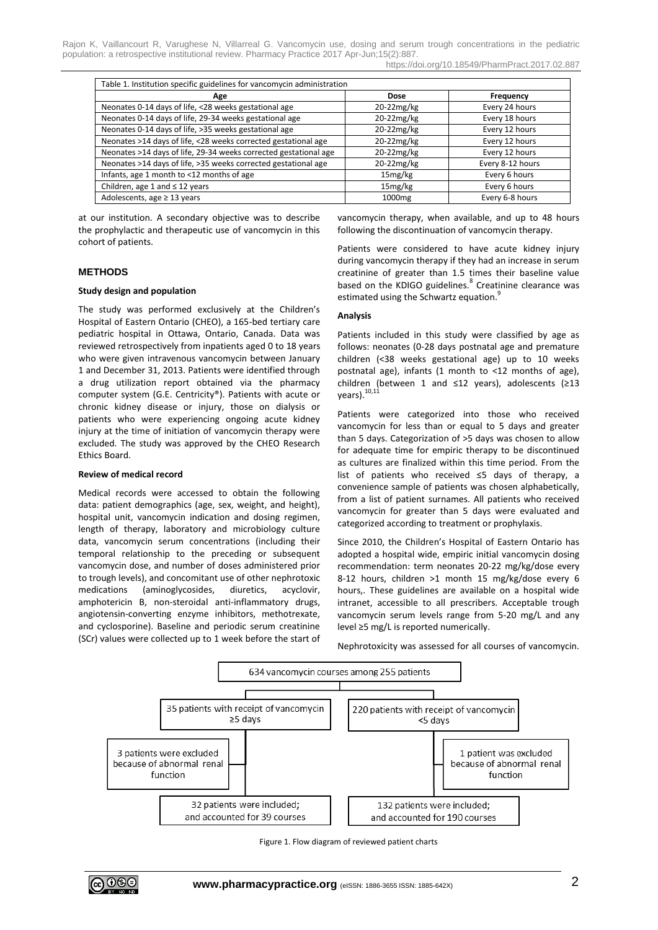https://doi.org/10.18549/PharmPract.2017.02.887

| Table 1. Institution specific guidelines for vancomycin administration |                     |                  |
|------------------------------------------------------------------------|---------------------|------------------|
| Age                                                                    | <b>Dose</b>         | Frequency        |
| Neonates 0-14 days of life, <28 weeks gestational age                  | 20-22mg/kg          | Every 24 hours   |
| Neonates 0-14 days of life, 29-34 weeks gestational age                | 20-22mg/kg          | Every 18 hours   |
| Neonates 0-14 days of life, >35 weeks gestational age                  | 20-22mg/kg          | Every 12 hours   |
| Neonates >14 days of life, <28 weeks corrected gestational age         | 20-22mg/kg          | Every 12 hours   |
| Neonates >14 days of life, 29-34 weeks corrected gestational age       | 20-22mg/kg          | Every 12 hours   |
| Neonates >14 days of life, >35 weeks corrected gestational age         | 20-22mg/kg          | Every 8-12 hours |
| Infants, age 1 month to <12 months of age                              | 15 <sub>mg/kg</sub> | Every 6 hours    |
| Children, age 1 and $\leq$ 12 years                                    | 15mg/kg             | Every 6 hours    |
| Adolescents, age $\geq$ 13 years                                       | 1000 <sub>mg</sub>  | Every 6-8 hours  |

at our institution. A secondary objective was to describe the prophylactic and therapeutic use of vancomycin in this cohort of patients.

#### **METHODS**

#### **Study design and population**

The study was performed exclusively at the Children's Hospital of Eastern Ontario (CHEO), a 165-bed tertiary care pediatric hospital in Ottawa, Ontario, Canada. Data was reviewed retrospectively from inpatients aged 0 to 18 years who were given intravenous vancomycin between January 1 and December 31, 2013. Patients were identified through a drug utilization report obtained via the pharmacy computer system (G.E. Centricity®). Patients with acute or chronic kidney disease or injury, those on dialysis or patients who were experiencing ongoing acute kidney injury at the time of initiation of vancomycin therapy were excluded. The study was approved by the CHEO Research Ethics Board.

#### **Review of medical record**

Medical records were accessed to obtain the following data: patient demographics (age, sex, weight, and height), hospital unit, vancomycin indication and dosing regimen, length of therapy, laboratory and microbiology culture data, vancomycin serum concentrations (including their temporal relationship to the preceding or subsequent vancomycin dose, and number of doses administered prior to trough levels), and concomitant use of other nephrotoxic medications (aminoglycosides, diuretics, acyclovir, amphotericin B, non-steroidal anti-inflammatory drugs, angiotensin-converting enzyme inhibitors, methotrexate, and cyclosporine). Baseline and periodic serum creatinine (SCr) values were collected up to 1 week before the start of vancomycin therapy, when available, and up to 48 hours following the discontinuation of vancomycin therapy.

Patients were considered to have acute kidney injury during vancomycin therapy if they had an increase in serum creatinine of greater than 1.5 times their baseline value based on the KDIGO guidelines.<sup>8</sup> Creatinine clearance was estimated using the Schwartz equation.<sup>9</sup>

#### **Analysis**

Patients included in this study were classified by age as follows: neonates (0-28 days postnatal age and premature children (<38 weeks gestational age) up to 10 weeks postnatal age), infants (1 month to <12 months of age), children (between 1 and ≤12 years), adolescents (≥13 years). <sup>10,11</sup>

Patients were categorized into those who received vancomycin for less than or equal to 5 days and greater than 5 days. Categorization of >5 days was chosen to allow for adequate time for empiric therapy to be discontinued as cultures are finalized within this time period. From the list of patients who received ≤5 days of therapy, a convenience sample of patients was chosen alphabetically, from a list of patient surnames. All patients who received vancomycin for greater than 5 days were evaluated and categorized according to treatment or prophylaxis.

Since 2010, the Children's Hospital of Eastern Ontario has adopted a hospital wide, empiric initial vancomycin dosing recommendation: term neonates 20-22 mg/kg/dose every 8-12 hours, children >1 month 15 mg/kg/dose every 6 hours,. These guidelines are available on a hospital wide intranet, accessible to all prescribers. Acceptable trough vancomycin serum levels range from 5-20 mg/L and any level ≥5 mg/L is reported numerically.

Nephrotoxicity was assessed for all courses of vancomycin.



Figure 1. Flow diagram of reviewed patient charts

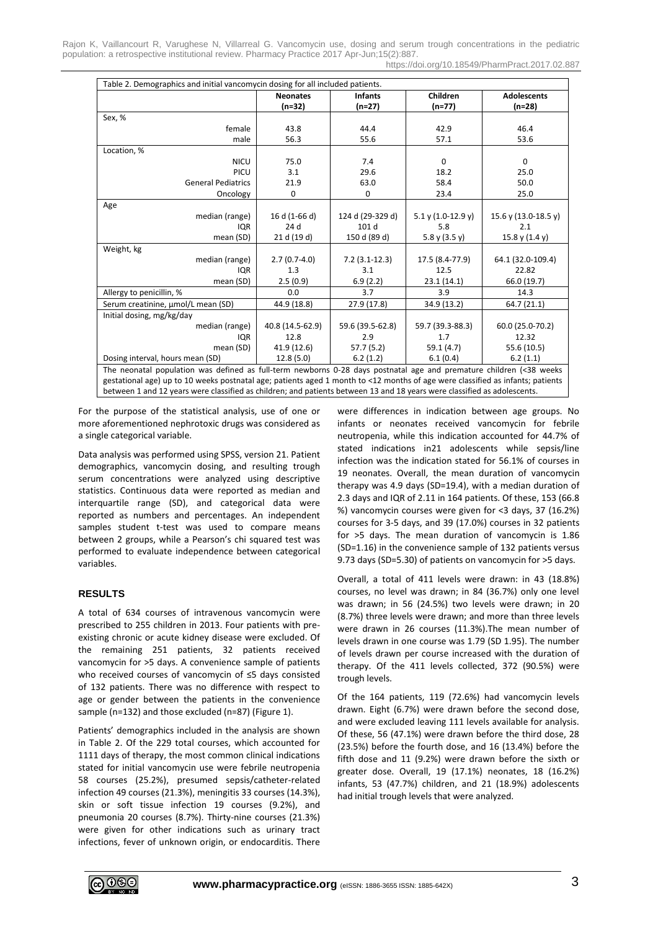Rajon K, Vaillancourt R, Varughese N, Villarreal G. Vancomycin use, dosing and serum trough concentrations in the pediatric population: a retrospective institutional review. Pharmacy Practice 2017 Apr-Jun;15(2):887. https://doi.org/10.18549/PharmPract.2017.02.887

|                                    | <b>Neonates</b>  | <b>Infants</b>   | Children               | <b>Adolescents</b>   |  |
|------------------------------------|------------------|------------------|------------------------|----------------------|--|
|                                    | $(n=32)$         | $(n=27)$         | $(n=77)$               | $(n=28)$             |  |
| Sex, %                             |                  |                  |                        |                      |  |
| female                             | 43.8             | 44.4             | 42.9                   | 46.4                 |  |
| male                               | 56.3             | 55.6             | 57.1                   | 53.6                 |  |
| Location, %                        |                  |                  |                        |                      |  |
| <b>NICU</b>                        | 75.0             | 7.4              | $\mathbf 0$            | $\mathbf 0$          |  |
| <b>PICU</b>                        | 3.1              | 29.6             | 18.2                   | 25.0                 |  |
| <b>General Pediatrics</b>          | 21.9             | 63.0             | 58.4                   | 50.0                 |  |
| Oncology                           | 0                | $\mathbf 0$      | 23.4                   | 25.0                 |  |
| Age                                |                  |                  |                        |                      |  |
| median (range)                     | 16 d (1-66 d)    | 124 d (29-329 d) | $5.1$ y $(1.0-12.9$ y) | 15.6 y (13.0-18.5 y) |  |
| <b>IQR</b>                         | 24 d             | 101 d            | 5.8                    | 2.1                  |  |
| mean (SD)                          | 21 d (19 d)      | 150 d (89 d)     | 5.8 y $(3.5 y)$        | 15.8 y $(1.4 y)$     |  |
| Weight, kg                         |                  |                  |                        |                      |  |
| median (range)                     | $2.7(0.7-4.0)$   | $7.2(3.1-12.3)$  | 17.5 (8.4-77.9)        | 64.1 (32.0-109.4)    |  |
| <b>IQR</b>                         | 1.3              | 3.1              | 12.5                   | 22.82                |  |
| mean (SD)                          | 2.5(0.9)         | 6.9(2.2)         | 23.1(14.1)             | 66.0 (19.7)          |  |
| Allergy to penicillin, %           | 0.0              | 3.7              | 3.9                    | 14.3                 |  |
| Serum creatinine, µmol/L mean (SD) | 44.9 (18.8)      | 27.9 (17.8)      | 34.9 (13.2)            | 64.7 (21.1)          |  |
| Initial dosing, mg/kg/day          |                  |                  |                        |                      |  |
| median (range)                     | 40.8 (14.5-62.9) | 59.6 (39.5-62.8) | 59.7 (39.3-88.3)       | 60.0 (25.0-70.2)     |  |
| <b>IQR</b>                         | 12.8             | 2.9              | 12.32<br>1.7           |                      |  |
| mean (SD)                          | 41.9 (12.6)      | 57.7(5.2)        | 59.1 (4.7)             | 55.6 (10.5)          |  |
| Dosing interval, hours mean (SD)   | 12.8(5.0)        | 6.2(1.2)         | 6.1(0.4)               | 6.2(1.1)             |  |

The neonatal population was defined as full-term newborns 0-28 days postnatal age and premature children (<38 weeks gestational age) up to 10 weeks postnatal age; patients aged 1 month to <12 months of age were classified as infants; patients between 1 and 12 years were classified as children; and patients between 13 and 18 years were classified as adolescents.

For the purpose of the statistical analysis, use of one or more aforementioned nephrotoxic drugs was considered as a single categorical variable.

Data analysis was performed using SPSS, version 21. Patient demographics, vancomycin dosing, and resulting trough serum concentrations were analyzed using descriptive statistics. Continuous data were reported as median and interquartile range (SD), and categorical data were reported as numbers and percentages. An independent samples student t-test was used to compare means between 2 groups, while a Pearson's chi squared test was performed to evaluate independence between categorical variables.

# **RESULTS**

A total of 634 courses of intravenous vancomycin were prescribed to 255 children in 2013. Four patients with preexisting chronic or acute kidney disease were excluded. Of the remaining 251 patients, 32 patients received vancomycin for >5 days. A convenience sample of patients who received courses of vancomycin of ≤5 days consisted of 132 patients. There was no difference with respect to age or gender between the patients in the convenience sample (n=132) and those excluded (n=87) (Figure 1).

Patients' demographics included in the analysis are shown in Table 2. Of the 229 total courses, which accounted for 1111 days of therapy, the most common clinical indications stated for initial vancomycin use were febrile neutropenia 58 courses (25.2%), presumed sepsis/catheter-related infection 49 courses (21.3%), meningitis 33 courses (14.3%), skin or soft tissue infection 19 courses (9.2%), and pneumonia 20 courses (8.7%). Thirty-nine courses (21.3%) were given for other indications such as urinary tract infections, fever of unknown origin, or endocarditis. There

were differences in indication between age groups. No infants or neonates received vancomycin for febrile neutropenia, while this indication accounted for 44.7% of stated indications in21 adolescents while sepsis/line infection was the indication stated for 56.1% of courses in 19 neonates. Overall, the mean duration of vancomycin therapy was 4.9 days (SD=19.4), with a median duration of 2.3 days and IQR of 2.11 in 164 patients. Of these, 153 (66.8 %) vancomycin courses were given for <3 days, 37 (16.2%) courses for 3-5 days, and 39 (17.0%) courses in 32 patients for >5 days. The mean duration of vancomycin is 1.86 (SD=1.16) in the convenience sample of 132 patients versus 9.73 days (SD=5.30) of patients on vancomycin for >5 days.

Overall, a total of 411 levels were drawn: in 43 (18.8%) courses, no level was drawn; in 84 (36.7%) only one level was drawn; in 56 (24.5%) two levels were drawn; in 20 (8.7%) three levels were drawn; and more than three levels were drawn in 26 courses (11.3%).The mean number of levels drawn in one course was 1.79 (SD 1.95). The number of levels drawn per course increased with the duration of therapy. Of the 411 levels collected, 372 (90.5%) were trough levels.

Of the 164 patients, 119 (72.6%) had vancomycin levels drawn. Eight (6.7%) were drawn before the second dose, and were excluded leaving 111 levels available for analysis. Of these, 56 (47.1%) were drawn before the third dose, 28 (23.5%) before the fourth dose, and 16 (13.4%) before the fifth dose and 11 (9.2%) were drawn before the sixth or greater dose. Overall, 19 (17.1%) neonates, 18 (16.2%) infants, 53 (47.7%) children, and 21 (18.9%) adolescents had initial trough levels that were analyzed.

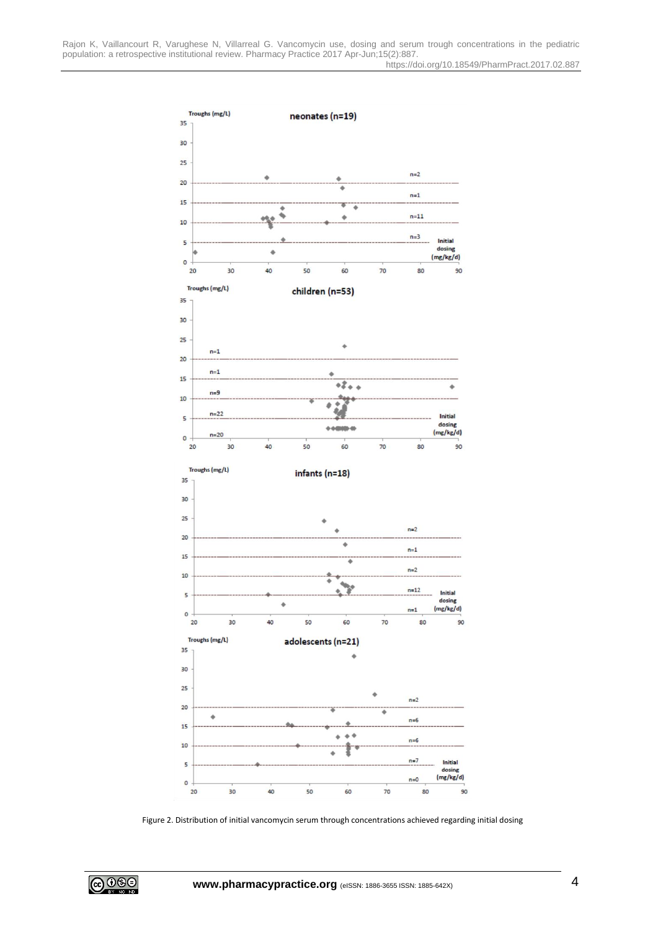

Figure 2. Distribution of initial vancomycin serum through concentrations achieved regarding initial dosing

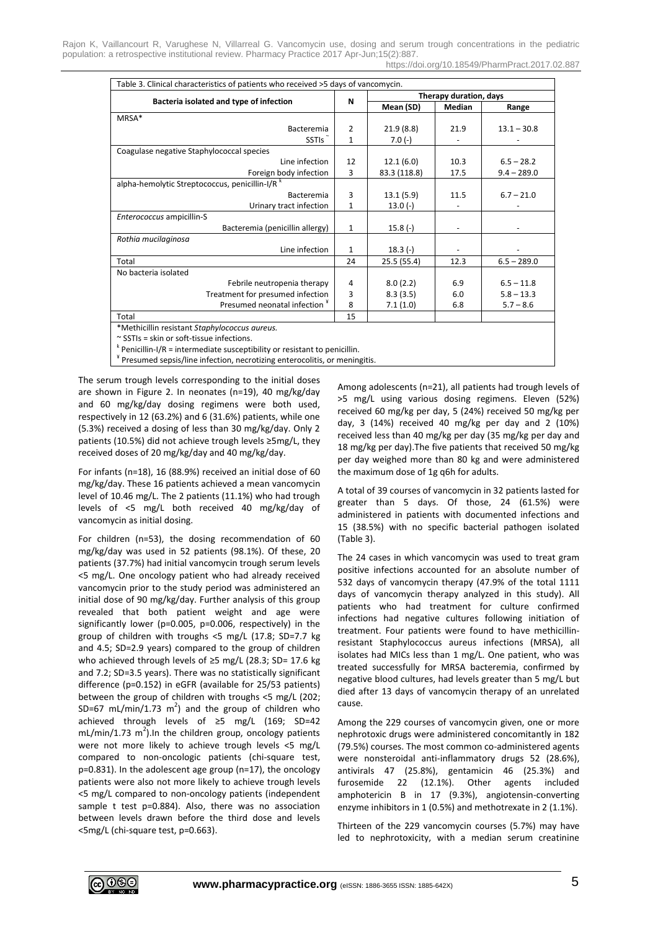| Table 3. Clinical characteristics of patients who received >5 days of vancomycin. |              |                        |        |               |  |
|-----------------------------------------------------------------------------------|--------------|------------------------|--------|---------------|--|
|                                                                                   |              | Therapy duration, days |        |               |  |
| Bacteria isolated and type of infection                                           | N            | Mean (SD)              | Median | Range         |  |
| MRSA*                                                                             |              |                        |        |               |  |
| Bacteremia                                                                        | 2            | 21.9(8.8)              | 21.9   | $13.1 - 30.8$ |  |
| SSTI <sub>s</sub>                                                                 | $\mathbf{1}$ | $7.0(-)$               |        |               |  |
| Coagulase negative Staphylococcal species                                         |              |                        |        |               |  |
| Line infection                                                                    | 12           | 12.1(6.0)              | 10.3   | $6.5 - 28.2$  |  |
| Foreign body infection                                                            | 3            | 83.3 (118.8)           | 17.5   | $9.4 - 289.0$ |  |
| alpha-hemolytic Streptococcus, penicillin-I/R <sup>k</sup>                        |              |                        |        |               |  |
| Bacteremia                                                                        | 3            | 13.1(5.9)              | 11.5   | $6.7 - 21.0$  |  |
| Urinary tract infection                                                           | 1            | $13.0(-)$              |        |               |  |
| Enterococcus ampicillin-S                                                         |              |                        |        |               |  |
| Bacteremia (penicillin allergy)                                                   | $\mathbf{1}$ | $15.8(-)$              |        |               |  |
| Rothia mucilaginosa                                                               |              |                        |        |               |  |
| Line infection                                                                    | 1            | $18.3(-)$              |        |               |  |
| Total                                                                             | 24           | 25.5(55.4)             | 12.3   | $6.5 - 289.0$ |  |
| No bacteria isolated                                                              |              |                        |        |               |  |
| Febrile neutropenia therapy                                                       | 4            | 8.0(2.2)               | 6.9    | $6.5 - 11.8$  |  |
| Treatment for presumed infection                                                  | 3            | 8.3(3.5)               | 6.0    | $5.8 - 13.3$  |  |
| Presumed neonatal infection *                                                     | 8            | 7.1(1.0)               | 6.8    | $5.7 - 8.6$   |  |
| Total                                                                             | 15           |                        |        |               |  |
| *Methicillin resistant Staphylococcus aureus.                                     |              |                        |        |               |  |

~ SSTIs = skin or soft-tissue infections.

 $k$  Penicillin-I/R = intermediate susceptibility or resistant to penicillin.

¥ Presumed sepsis/line infection, necrotizing enterocolitis, or meningitis.

The serum trough levels corresponding to the initial doses are shown in Figure 2. In neonates (n=19), 40 mg/kg/day and 60 mg/kg/day dosing regimens were both used, respectively in 12 (63.2%) and 6 (31.6%) patients, while one (5.3%) received a dosing of less than 30 mg/kg/day. Only 2 patients (10.5%) did not achieve trough levels ≥5mg/L, they received doses of 20 mg/kg/day and 40 mg/kg/day.

For infants (n=18), 16 (88.9%) received an initial dose of 60 mg/kg/day. These 16 patients achieved a mean vancomycin level of 10.46 mg/L. The 2 patients (11.1%) who had trough levels of <5 mg/L both received 40 mg/kg/day of vancomycin as initial dosing.

For children (n=53), the dosing recommendation of 60 mg/kg/day was used in 52 patients (98.1%). Of these, 20 patients (37.7%) had initial vancomycin trough serum levels <5 mg/L. One oncology patient who had already received vancomycin prior to the study period was administered an initial dose of 90 mg/kg/day. Further analysis of this group revealed that both patient weight and age were significantly lower (p=0.005, p=0.006, respectively) in the group of children with troughs <5 mg/L (17.8; SD=7.7 kg and 4.5; SD=2.9 years) compared to the group of children who achieved through levels of ≥5 mg/L (28.3; SD= 17.6 kg and 7.2; SD=3.5 years). There was no statistically significant difference (p=0.152) in eGFR (available for 25/53 patients) between the group of children with troughs <5 mg/L (202; SD=67 mL/min/1.73  $m^2$ ) and the group of children who achieved through levels of ≥5 mg/L (169; SD=42 mL/min/1.73 m<sup>2</sup>). In the children group, oncology patients were not more likely to achieve trough levels <5 mg/L compared to non-oncologic patients (chi-square test, p=0.831). In the adolescent age group (n=17), the oncology patients were also not more likely to achieve trough levels <5 mg/L compared to non-oncology patients (independent sample t test p=0.884). Also, there was no association between levels drawn before the third dose and levels <5mg/L (chi-square test, p=0.663).

Among adolescents (n=21), all patients had trough levels of >5 mg/L using various dosing regimens. Eleven (52%) received 60 mg/kg per day, 5 (24%) received 50 mg/kg per day, 3 (14%) received 40 mg/kg per day and 2 (10%) received less than 40 mg/kg per day (35 mg/kg per day and 18 mg/kg per day).The five patients that received 50 mg/kg per day weighed more than 80 kg and were administered the maximum dose of 1g q6h for adults.

A total of 39 courses of vancomycin in 32 patients lasted for greater than 5 days. Of those, 24 (61.5%) were administered in patients with documented infections and 15 (38.5%) with no specific bacterial pathogen isolated (Table 3).

The 24 cases in which vancomycin was used to treat gram positive infections accounted for an absolute number of 532 days of vancomycin therapy (47.9% of the total 1111 days of vancomycin therapy analyzed in this study). All patients who had treatment for culture confirmed infections had negative cultures following initiation of treatment. Four patients were found to have methicillinresistant Staphylococcus aureus infections (MRSA), all isolates had MICs less than 1 mg/L. One patient, who was treated successfully for MRSA bacteremia, confirmed by negative blood cultures, had levels greater than 5 mg/L but died after 13 days of vancomycin therapy of an unrelated cause.

Among the 229 courses of vancomycin given, one or more nephrotoxic drugs were administered concomitantly in 182 (79.5%) courses. The most common co-administered agents were nonsteroidal anti-inflammatory drugs 52 (28.6%), antivirals 47 (25.8%), gentamicin 46 (25.3%) and furosemide 22 (12.1%). Other agents included amphotericin B in 17 (9.3%), angiotensin-converting enzyme inhibitors in 1 (0.5%) and methotrexate in 2 (1.1%).

Thirteen of the 229 vancomycin courses (5.7%) may have led to nephrotoxicity, with a median serum creatinine

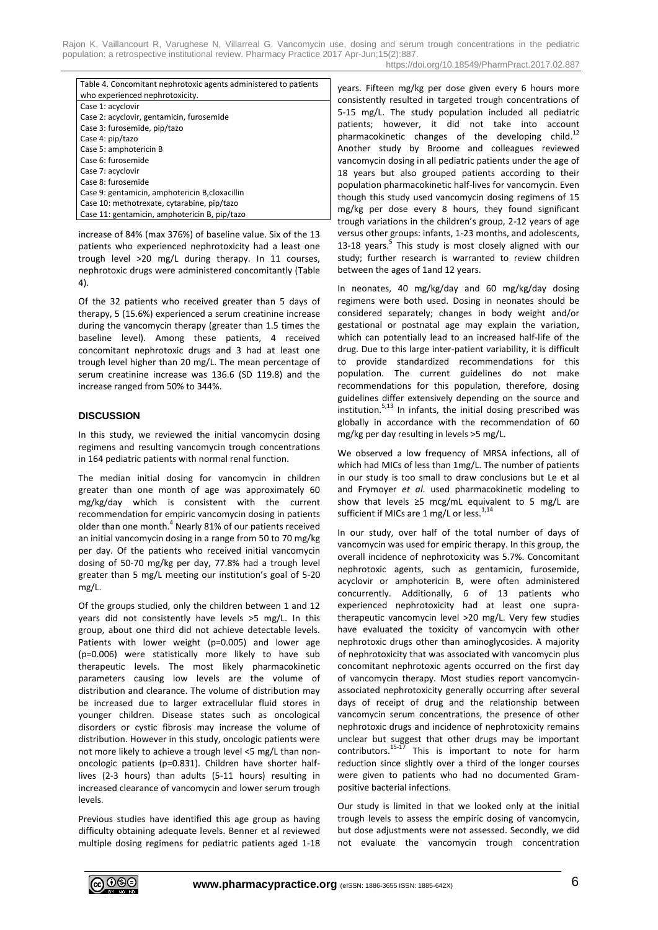| Table 4. Concomitant nephrotoxic agents administered to patients |  |
|------------------------------------------------------------------|--|
| who experienced nephrotoxicity.                                  |  |
| Case 1: acyclovir                                                |  |
| Case 2: acyclovir, gentamicin, furosemide                        |  |
| Case 3: furosemide, pip/tazo                                     |  |
| Case 4: pip/tazo                                                 |  |
| Case 5: amphotericin B                                           |  |
| Case 6: furosemide                                               |  |
| Case 7: acyclovir                                                |  |
| Case 8: furosemide                                               |  |
| Case 9: gentamicin, amphotericin B, cloxacillin                  |  |
| Case 10: methotrexate, cytarabine, pip/tazo                      |  |
| Case 11: gentamicin, amphotericin B, pip/tazo                    |  |

increase of 84% (max 376%) of baseline value. Six of the 13 patients who experienced nephrotoxicity had a least one trough level >20 mg/L during therapy. In 11 courses, nephrotoxic drugs were administered concomitantly (Table 4).

Of the 32 patients who received greater than 5 days of therapy, 5 (15.6%) experienced a serum creatinine increase during the vancomycin therapy (greater than 1.5 times the baseline level). Among these patients, 4 received concomitant nephrotoxic drugs and 3 had at least one trough level higher than 20 mg/L. The mean percentage of serum creatinine increase was 136.6 (SD 119.8) and the increase ranged from 50% to 344%.

### **DISCUSSION**

In this study, we reviewed the initial vancomycin dosing regimens and resulting vancomycin trough concentrations in 164 pediatric patients with normal renal function.

The median initial dosing for vancomycin in children greater than one month of age was approximately 60 mg/kg/day which is consistent with the current recommendation for empiric vancomycin dosing in patients older than one month.<sup>4</sup> Nearly 81% of our patients received an initial vancomycin dosing in a range from 50 to 70 mg/kg per day. Of the patients who received initial vancomycin dosing of 50-70 mg/kg per day, 77.8% had a trough level greater than 5 mg/L meeting our institution's goal of 5-20 mg/L.

Of the groups studied, only the children between 1 and 12 years did not consistently have levels >5 mg/L. In this group, about one third did not achieve detectable levels. Patients with lower weight (p=0.005) and lower age (p=0.006) were statistically more likely to have sub therapeutic levels. The most likely pharmacokinetic parameters causing low levels are the volume of distribution and clearance. The volume of distribution may be increased due to larger extracellular fluid stores in younger children. Disease states such as oncological disorders or cystic fibrosis may increase the volume of distribution. However in this study, oncologic patients were not more likely to achieve a trough level <5 mg/L than nononcologic patients (p=0.831). Children have shorter halflives (2-3 hours) than adults (5-11 hours) resulting in increased clearance of vancomycin and lower serum trough levels.

Previous studies have identified this age group as having difficulty obtaining adequate levels. Benner et al reviewed multiple dosing regimens for pediatric patients aged 1-18 years. Fifteen mg/kg per dose given every 6 hours more consistently resulted in targeted trough concentrations of 5-15 mg/L. The study population included all pediatric patients; however, it did not take into account pharmacokinetic changes of the developing child.<sup>12</sup> Another study by Broome and colleagues reviewed vancomycin dosing in all pediatric patients under the age of 18 years but also grouped patients according to their population pharmacokinetic half-lives for vancomycin. Even though this study used vancomycin dosing regimens of 15 mg/kg per dose every 8 hours, they found significant trough variations in the children's group, 2-12 years of age versus other groups: infants, 1-23 months, and adolescents, 13-18 years.<sup>5</sup> This study is most closely aligned with our study; further research is warranted to review children between the ages of 1and 12 years.

In neonates, 40 mg/kg/day and 60 mg/kg/day dosing regimens were both used. Dosing in neonates should be considered separately; changes in body weight and/or gestational or postnatal age may explain the variation, which can potentially lead to an increased half-life of the drug. Due to this large inter-patient variability, it is difficult to provide standardized recommendations for this population. The current guidelines do not make recommendations for this population, therefore, dosing guidelines differ extensively depending on the source and institution.<sup>5,13</sup> In infants, the initial dosing prescribed was globally in accordance with the recommendation of 60 mg/kg per day resulting in levels >5 mg/L.

We observed a low frequency of MRSA infections, all of which had MICs of less than 1mg/L. The number of patients in our study is too small to draw conclusions but Le et al and Frymoyer *et al*. used pharmacokinetic modeling to show that levels ≥5 mcg/mL equivalent to 5 mg/L are sufficient if MICs are 1 mg/L or less.<sup>1,14</sup>

In our study, over half of the total number of days of vancomycin was used for empiric therapy. In this group, the overall incidence of nephrotoxicity was 5.7%. Concomitant nephrotoxic agents, such as gentamicin, furosemide, acyclovir or amphotericin B, were often administered concurrently. Additionally, 6 of 13 patients who experienced nephrotoxicity had at least one supratherapeutic vancomycin level >20 mg/L. Very few studies have evaluated the toxicity of vancomycin with other nephrotoxic drugs other than aminoglycosides. A majority of nephrotoxicity that was associated with vancomycin plus concomitant nephrotoxic agents occurred on the first day of vancomycin therapy. Most studies report vancomycinassociated nephrotoxicity generally occurring after several days of receipt of drug and the relationship between vancomycin serum concentrations, the presence of other nephrotoxic drugs and incidence of nephrotoxicity remains unclear but suggest that other drugs may be important contributors.<sup>15-17</sup> This is important to note for harm reduction since slightly over a third of the longer courses were given to patients who had no documented Grampositive bacterial infections.

Our study is limited in that we looked only at the initial trough levels to assess the empiric dosing of vancomycin, but dose adjustments were not assessed. Secondly, we did not evaluate the vancomycin trough concentration